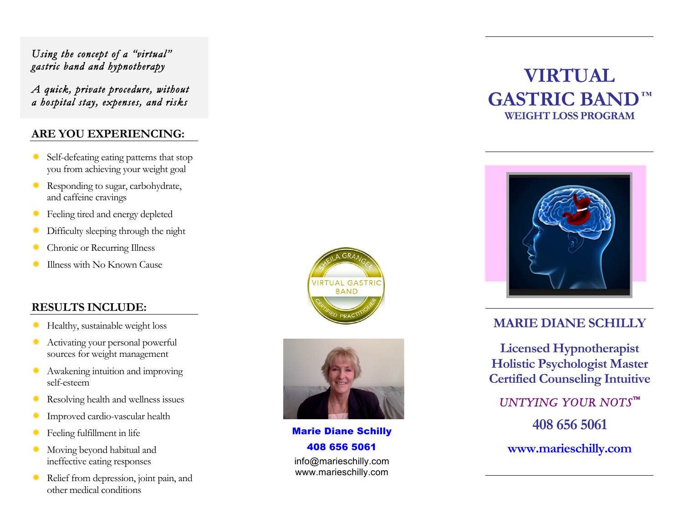#### *Using the concept of a "virtual" gastric band and hypnotherapy*

*A quick, private procedure, without a hospital stay, expenses, and risks* 

#### **ARE YOU EXPERIENCING:**

- ð Self-defeating eating patterns that stop you from achieving your weight goal
- **K** Responding to sugar, carbohydrate, and caffeine cravings
- **<del></del>** Feeling tired and energy depleted
- **EXECUTE:** Difficulty sleeping through the night
- Chronic or Recurring Illness
- ð Illness with No Known Cause

#### **RESULTS INCLUDE:**

- ð Healthy, sustainable weight loss
- \*\* Activating your personal powerful sources for weight management
- \* Awakening intuition and improving self-esteem
- $\ast$  Resolving health and wellness issues
- **K** Improved cardio-vascular health
- ð Feeling fulfillment in life
- **K** Moving beyond habitual and ineffective eating responses
- **K** Relief from depression, joint pain, and other medical conditions





Marie Diane Schilly 408 656 5061 info@marieschilly.com

www.marieschilly.com

## **VIRTUAL GASTRIC BAND****™ WEIGHT LOSS PROGRAM**



#### **MARIE DIANE SCHILLY**

**Licensed Hypnotherapist Holistic Psychologist Master Certified Counseling Intuitive**

*UNTYING YOUR NOTS™*  **408 656 5061 www.marieschilly.com**